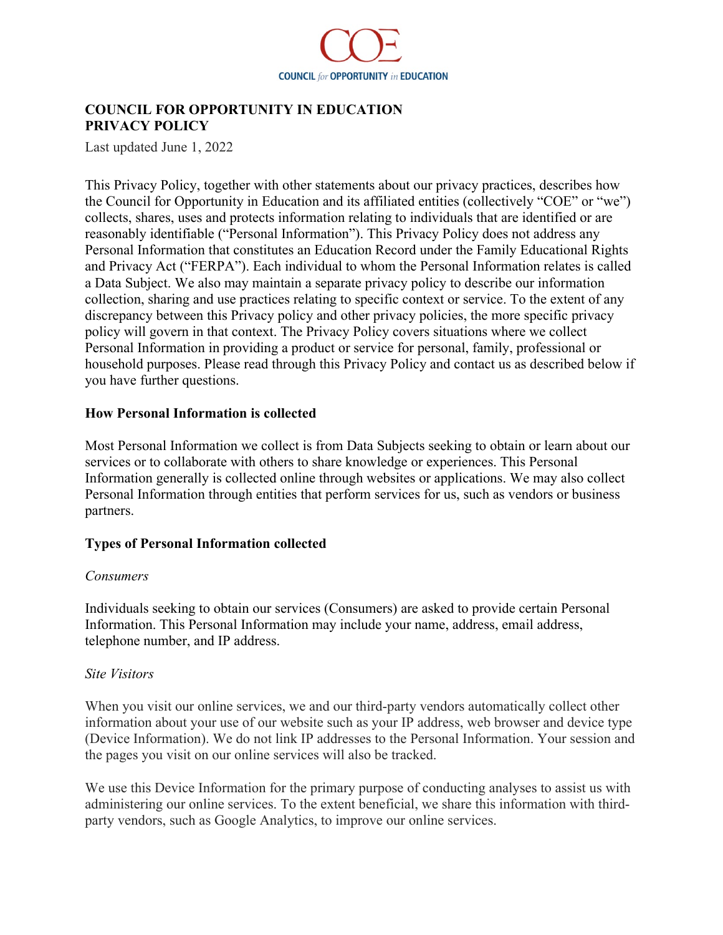

# **COUNCIL FOR OPPORTUNITY IN EDUCATION PRIVACY POLICY**

Last updated June 1, 2022

This Privacy Policy, together with other statements about our privacy practices, describes how the Council for Opportunity in Education and its affiliated entities (collectively "COE" or "we") collects, shares, uses and protects information relating to individuals that are identified or are reasonably identifiable ("Personal Information"). This Privacy Policy does not address any Personal Information that constitutes an Education Record under the Family Educational Rights and Privacy Act ("FERPA"). Each individual to whom the Personal Information relates is called a Data Subject. We also may maintain a separate privacy policy to describe our information collection, sharing and use practices relating to specific context or service. To the extent of any discrepancy between this Privacy policy and other privacy policies, the more specific privacy policy will govern in that context. The Privacy Policy covers situations where we collect Personal Information in providing a product or service for personal, family, professional or household purposes. Please read through this Privacy Policy and contact us as described below if you have further questions.

#### **How Personal Information is collected**

Most Personal Information we collect is from Data Subjects seeking to obtain or learn about our services or to collaborate with others to share knowledge or experiences. This Personal Information generally is collected online through websites or applications. We may also collect Personal Information through entities that perform services for us, such as vendors or business partners.

#### **Types of Personal Information collected**

#### *Consumers*

Individuals seeking to obtain our services (Consumers) are asked to provide certain Personal Information. This Personal Information may include your name, address, email address, telephone number, and IP address.

#### *Site Visitors*

When you visit our online services, we and our third-party vendors automatically collect other information about your use of our website such as your IP address, web browser and device type (Device Information). We do not link IP addresses to the Personal Information. Your session and the pages you visit on our online services will also be tracked.

We use this Device Information for the primary purpose of conducting analyses to assist us with administering our online services. To the extent beneficial, we share this information with thirdparty vendors, such as Google Analytics, to improve our online services.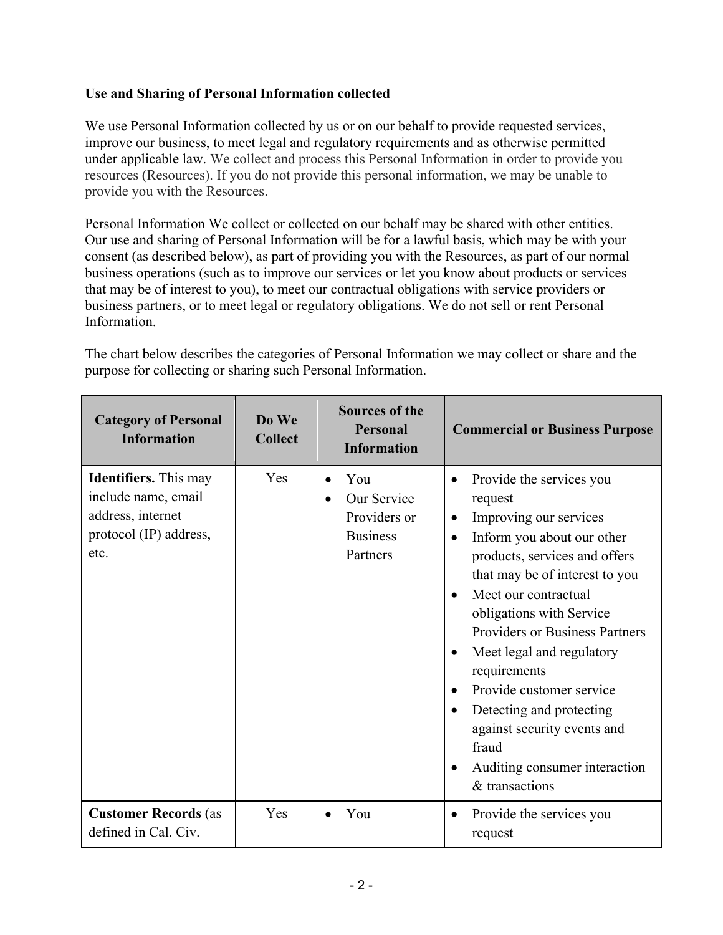# **Use and Sharing of Personal Information collected**

We use Personal Information collected by us or on our behalf to provide requested services, improve our business, to meet legal and regulatory requirements and as otherwise permitted under applicable law. We collect and process this Personal Information in order to provide you resources (Resources). If you do not provide this personal information, we may be unable to provide you with the Resources.

Personal Information We collect or collected on our behalf may be shared with other entities. Our use and sharing of Personal Information will be for a lawful basis, which may be with your consent (as described below), as part of providing you with the Resources, as part of our normal business operations (such as to improve our services or let you know about products or services that may be of interest to you), to meet our contractual obligations with service providers or business partners, or to meet legal or regulatory obligations. We do not sell or rent Personal Information.

The chart below describes the categories of Personal Information we may collect or share and the purpose for collecting or sharing such Personal Information.

| <b>Category of Personal</b><br><b>Information</b>                                                          | Do We<br><b>Collect</b> | <b>Sources of the</b><br><b>Personal</b><br><b>Information</b>    | <b>Commercial or Business Purpose</b>                                                                                                                                                                                                                                                                                                                                                                                                                                                                                                                  |
|------------------------------------------------------------------------------------------------------------|-------------------------|-------------------------------------------------------------------|--------------------------------------------------------------------------------------------------------------------------------------------------------------------------------------------------------------------------------------------------------------------------------------------------------------------------------------------------------------------------------------------------------------------------------------------------------------------------------------------------------------------------------------------------------|
| <b>Identifiers.</b> This may<br>include name, email<br>address, internet<br>protocol (IP) address,<br>etc. | Yes                     | You<br>Our Service<br>Providers or<br><b>Business</b><br>Partners | Provide the services you<br>request<br>Improving our services<br>$\bullet$<br>Inform you about our other<br>$\bullet$<br>products, services and offers<br>that may be of interest to you<br>Meet our contractual<br>$\bullet$<br>obligations with Service<br><b>Providers or Business Partners</b><br>Meet legal and regulatory<br>$\bullet$<br>requirements<br>Provide customer service<br>$\bullet$<br>Detecting and protecting<br>$\bullet$<br>against security events and<br>fraud<br>Auditing consumer interaction<br>$\bullet$<br>& transactions |
| <b>Customer Records (as</b><br>defined in Cal. Civ.                                                        | Yes                     | You                                                               | Provide the services you<br>٠<br>request                                                                                                                                                                                                                                                                                                                                                                                                                                                                                                               |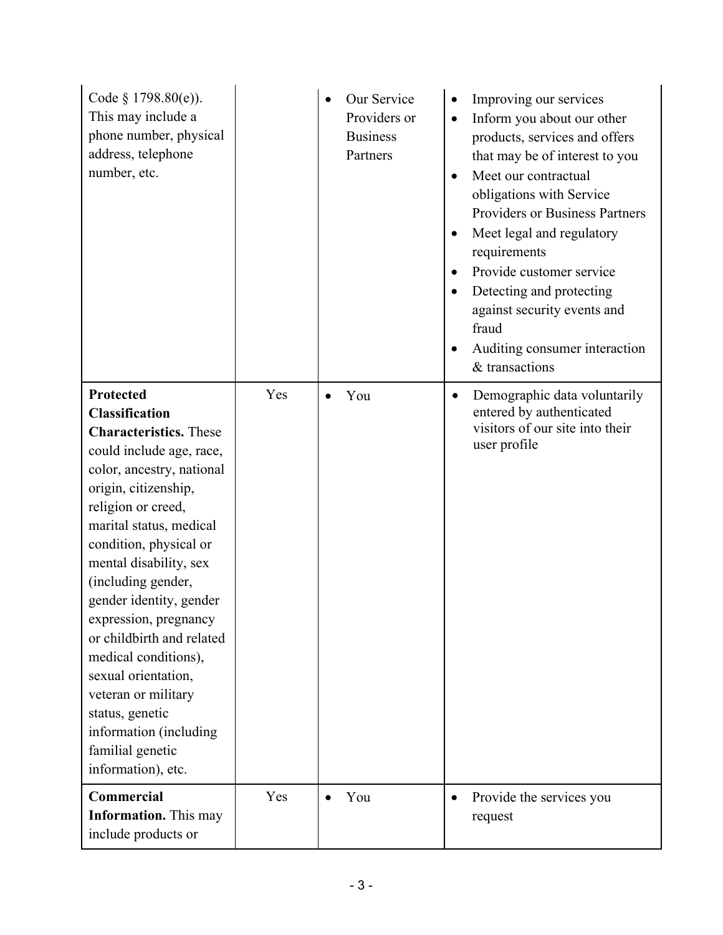| Code $§$ 1798.80(e)).<br>This may include a<br>phone number, physical<br>address, telephone<br>number, etc.                                                                                                                                                                                                                                                                                                                                                                                                                   |     | Our Service<br>Providers or<br><b>Business</b><br>Partners | Improving our services<br>Inform you about our other<br>$\bullet$<br>products, services and offers<br>that may be of interest to you<br>Meet our contractual<br>$\bullet$<br>obligations with Service<br>Providers or Business Partners<br>Meet legal and regulatory<br>٠<br>requirements<br>Provide customer service<br>Detecting and protecting<br>against security events and<br>fraud<br>Auditing consumer interaction<br>$\bullet$<br>& transactions |
|-------------------------------------------------------------------------------------------------------------------------------------------------------------------------------------------------------------------------------------------------------------------------------------------------------------------------------------------------------------------------------------------------------------------------------------------------------------------------------------------------------------------------------|-----|------------------------------------------------------------|-----------------------------------------------------------------------------------------------------------------------------------------------------------------------------------------------------------------------------------------------------------------------------------------------------------------------------------------------------------------------------------------------------------------------------------------------------------|
| Protected<br><b>Classification</b><br><b>Characteristics.</b> These<br>could include age, race,<br>color, ancestry, national<br>origin, citizenship,<br>religion or creed,<br>marital status, medical<br>condition, physical or<br>mental disability, sex<br>(including gender,<br>gender identity, gender<br>expression, pregnancy<br>or childbirth and related<br>medical conditions),<br>sexual orientation,<br>veteran or military<br>status, genetic<br>information (including<br>familial genetic<br>information), etc. | Yes | You                                                        | Demographic data voluntarily<br>٠<br>entered by authenticated<br>visitors of our site into their<br>user profile                                                                                                                                                                                                                                                                                                                                          |
| Commercial<br><b>Information.</b> This may<br>include products or                                                                                                                                                                                                                                                                                                                                                                                                                                                             | Yes | You                                                        | Provide the services you<br>$\bullet$<br>request                                                                                                                                                                                                                                                                                                                                                                                                          |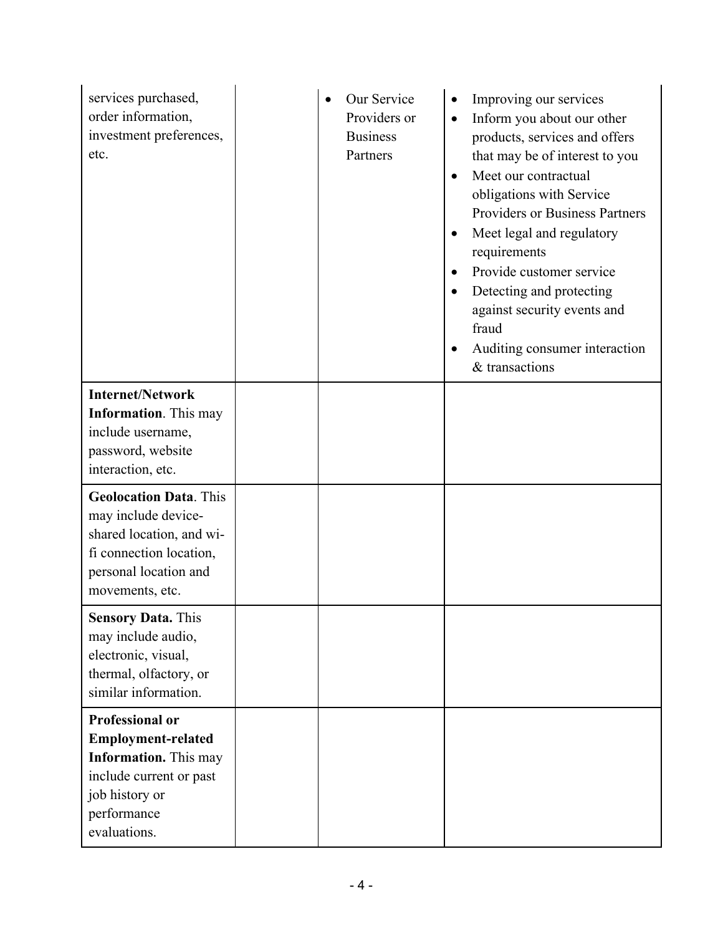| services purchased,<br>order information,<br>investment preferences,<br>etc.                                                                                    | Our Service<br>Providers or<br><b>Business</b><br>Partners | Improving our services<br>Inform you about our other<br>$\bullet$<br>products, services and offers<br>that may be of interest to you<br>Meet our contractual<br>$\bullet$<br>obligations with Service<br><b>Providers or Business Partners</b><br>Meet legal and regulatory<br>٠<br>requirements<br>Provide customer service<br>Detecting and protecting<br>against security events and<br>fraud<br>Auditing consumer interaction<br>& transactions |
|-----------------------------------------------------------------------------------------------------------------------------------------------------------------|------------------------------------------------------------|-----------------------------------------------------------------------------------------------------------------------------------------------------------------------------------------------------------------------------------------------------------------------------------------------------------------------------------------------------------------------------------------------------------------------------------------------------|
| <b>Internet/Network</b><br><b>Information</b> . This may<br>include username,<br>password, website<br>interaction, etc.                                         |                                                            |                                                                                                                                                                                                                                                                                                                                                                                                                                                     |
| <b>Geolocation Data. This</b><br>may include device-<br>shared location, and wi-<br>fi connection location,<br>personal location and<br>movements, etc.         |                                                            |                                                                                                                                                                                                                                                                                                                                                                                                                                                     |
| <b>Sensory Data. This</b><br>may include audio,<br>electronic, visual,<br>thermal, olfactory, or<br>similar information.                                        |                                                            |                                                                                                                                                                                                                                                                                                                                                                                                                                                     |
| <b>Professional or</b><br><b>Employment-related</b><br><b>Information.</b> This may<br>include current or past<br>job history or<br>performance<br>evaluations. |                                                            |                                                                                                                                                                                                                                                                                                                                                                                                                                                     |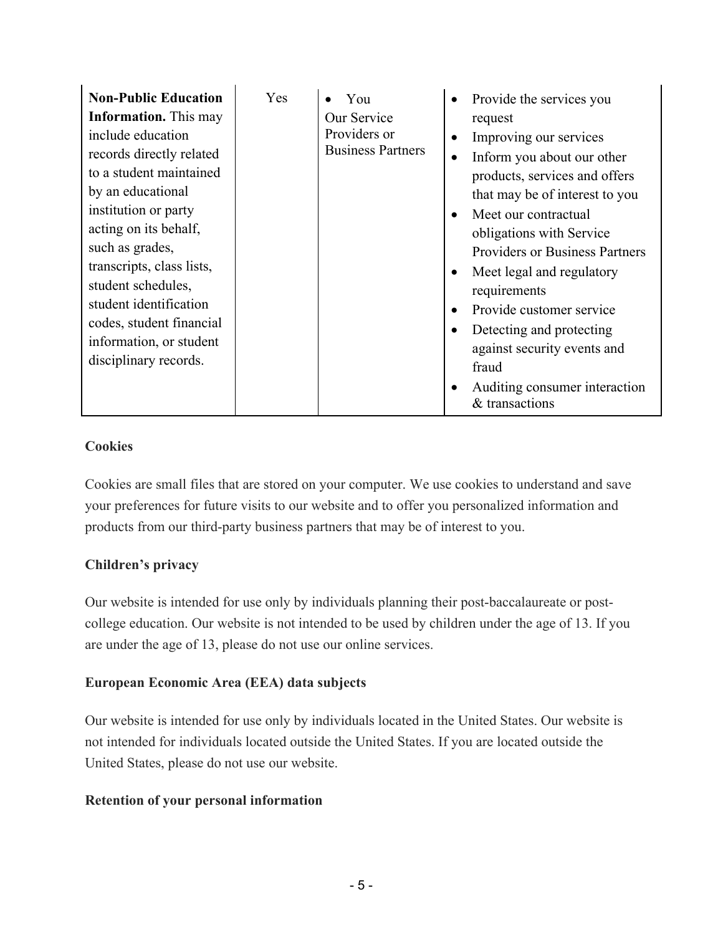| <b>Non-Public Education</b><br><b>Information.</b> This may<br>include education<br>records directly related<br>to a student maintained<br>by an educational<br>institution or party<br>acting on its behalf,<br>such as grades,<br>transcripts, class lists,<br>student schedules,<br>student identification<br>codes, student financial<br>information, or student<br>disciplinary records. | Yes | You<br>Our Service<br>Providers or<br><b>Business Partners</b> | Provide the services you<br>٠<br>request<br>Improving our services<br>Inform you about our other<br>$\bullet$<br>products, services and offers<br>that may be of interest to you<br>Meet our contractual<br>obligations with Service<br><b>Providers or Business Partners</b><br>Meet legal and regulatory<br>requirements<br>Provide customer service<br>Detecting and protecting<br>against security events and<br>fraud<br>Auditing consumer interaction<br>& transactions |
|-----------------------------------------------------------------------------------------------------------------------------------------------------------------------------------------------------------------------------------------------------------------------------------------------------------------------------------------------------------------------------------------------|-----|----------------------------------------------------------------|-------------------------------------------------------------------------------------------------------------------------------------------------------------------------------------------------------------------------------------------------------------------------------------------------------------------------------------------------------------------------------------------------------------------------------------------------------------------------------|
|-----------------------------------------------------------------------------------------------------------------------------------------------------------------------------------------------------------------------------------------------------------------------------------------------------------------------------------------------------------------------------------------------|-----|----------------------------------------------------------------|-------------------------------------------------------------------------------------------------------------------------------------------------------------------------------------------------------------------------------------------------------------------------------------------------------------------------------------------------------------------------------------------------------------------------------------------------------------------------------|

# **Cookies**

Cookies are small files that are stored on your computer. We use cookies to understand and save your preferences for future visits to our website and to offer you personalized information and products from our third-party business partners that may be of interest to you.

# **Children's privacy**

Our website is intended for use only by individuals planning their post-baccalaureate or postcollege education. Our website is not intended to be used by children under the age of 13. If you are under the age of 13, please do not use our online services.

### **European Economic Area (EEA) data subjects**

Our website is intended for use only by individuals located in the United States. Our website is not intended for individuals located outside the United States. If you are located outside the United States, please do not use our website.

### **Retention of your personal information**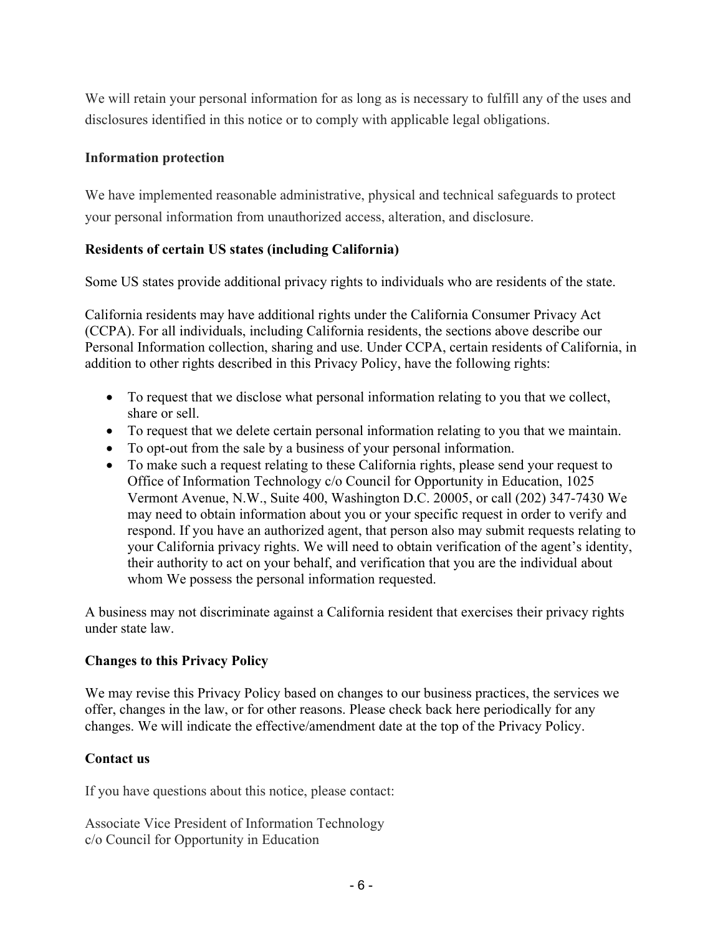We will retain your personal information for as long as is necessary to fulfill any of the uses and disclosures identified in this notice or to comply with applicable legal obligations.

### **Information protection**

We have implemented reasonable administrative, physical and technical safeguards to protect your personal information from unauthorized access, alteration, and disclosure.

# **Residents of certain US states (including California)**

Some US states provide additional privacy rights to individuals who are residents of the state.

California residents may have additional rights under the California Consumer Privacy Act (CCPA). For all individuals, including California residents, the sections above describe our Personal Information collection, sharing and use. Under CCPA, certain residents of California, in addition to other rights described in this Privacy Policy, have the following rights:

- To request that we disclose what personal information relating to you that we collect, share or sell.
- To request that we delete certain personal information relating to you that we maintain.
- To opt-out from the sale by a business of your personal information.
- To make such a request relating to these California rights, please send your request to Office of Information Technology c/o Council for Opportunity in Education, 1025 Vermont Avenue, N.W., Suite 400, Washington D.C. 20005, or call (202) 347-7430 We may need to obtain information about you or your specific request in order to verify and respond. If you have an authorized agent, that person also may submit requests relating to your California privacy rights. We will need to obtain verification of the agent's identity, their authority to act on your behalf, and verification that you are the individual about whom We possess the personal information requested.

A business may not discriminate against a California resident that exercises their privacy rights under state law.

### **Changes to this Privacy Policy**

We may revise this Privacy Policy based on changes to our business practices, the services we offer, changes in the law, or for other reasons. Please check back here periodically for any changes. We will indicate the effective/amendment date at the top of the Privacy Policy.

### **Contact us**

If you have questions about this notice, please contact:

Associate Vice President of Information Technology c/o Council for Opportunity in Education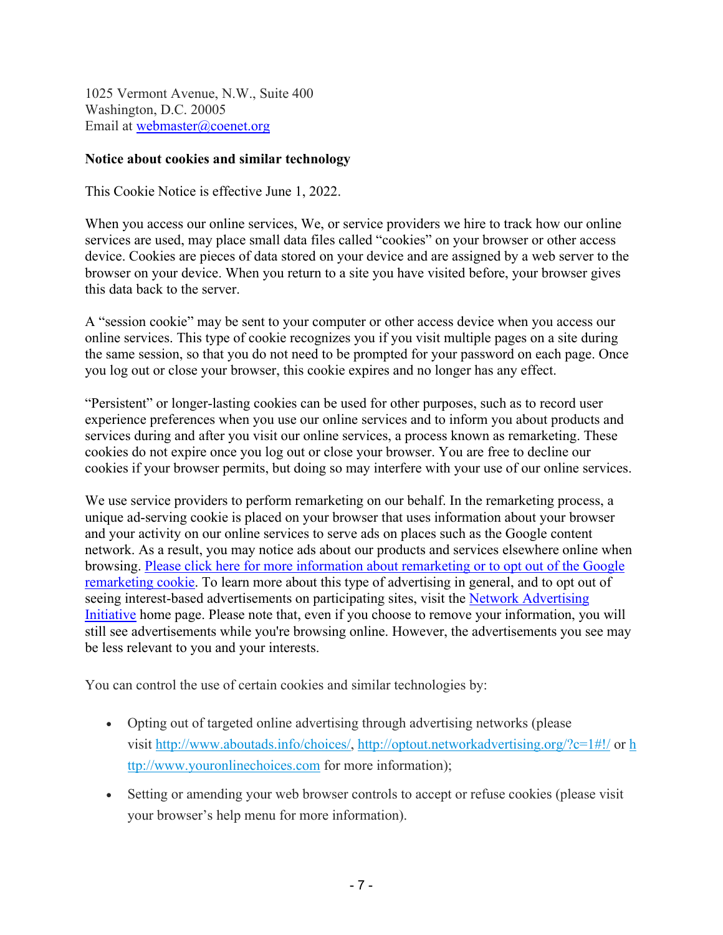1025 Vermont Avenue, N.W., Suite 400 Washington, D.C. 20005 Email at [webmaster@coenet.org](mailto:webmaster@coenet.org)

#### **Notice about cookies and similar technology**

This Cookie Notice is effective June 1, 2022.

When you access our online services, We, or service providers we hire to track how our online services are used, may place small data files called "cookies" on your browser or other access device. Cookies are pieces of data stored on your device and are assigned by a web server to the browser on your device. When you return to a site you have visited before, your browser gives this data back to the server.

A "session cookie" may be sent to your computer or other access device when you access our online services. This type of cookie recognizes you if you visit multiple pages on a site during the same session, so that you do not need to be prompted for your password on each page. Once you log out or close your browser, this cookie expires and no longer has any effect.

"Persistent" or longer-lasting cookies can be used for other purposes, such as to record user experience preferences when you use our online services and to inform you about products and services during and after you visit our online services, a process known as remarketing. These cookies do not expire once you log out or close your browser. You are free to decline our cookies if your browser permits, but doing so may interfere with your use of our online services.

We use service providers to perform remarketing on our behalf. In the remarketing process, a unique ad-serving cookie is placed on your browser that uses information about your browser and your activity on our online services to serve ads on places such as the Google content network. As a result, you may notice ads about our products and services elsewhere online when browsing. [Please click here for more information about remarketing or to opt out of the Google](https://urldefense.proofpoint.com/v2/url?u=http-3A__www.google.com_policies_technologies_ads_&d=CwMGaQ&c=2jpuOek3j4P5cpE4ozX__g&r=fkb92nOF3I9_x-uHub_mpNF8mvIdJ73wQ0pg4U1B0pk&m=etP2GZ5SNLrf2fKHqI46Ohv0le1Nh3F248lRsgE5snk&s=keRjvH7gT9s0rHCA19FJaU1v1WhlVZze5AI4JcE9PYw&e=)  [remarketing cookie.](https://urldefense.proofpoint.com/v2/url?u=http-3A__www.google.com_policies_technologies_ads_&d=CwMGaQ&c=2jpuOek3j4P5cpE4ozX__g&r=fkb92nOF3I9_x-uHub_mpNF8mvIdJ73wQ0pg4U1B0pk&m=etP2GZ5SNLrf2fKHqI46Ohv0le1Nh3F248lRsgE5snk&s=keRjvH7gT9s0rHCA19FJaU1v1WhlVZze5AI4JcE9PYw&e=) To learn more about this type of advertising in general, and to opt out of seeing interest-based advertisements on participating sites, visit the [Network Advertising](https://urldefense.proofpoint.com/v2/url?u=http-3A__www.networkadvertising.org_&d=CwMGaQ&c=2jpuOek3j4P5cpE4ozX__g&r=fkb92nOF3I9_x-uHub_mpNF8mvIdJ73wQ0pg4U1B0pk&m=etP2GZ5SNLrf2fKHqI46Ohv0le1Nh3F248lRsgE5snk&s=ftjGocclc-2PNCOe7yxkPGtjY7TSNFd6kxv7IYknDzI&e=)  [Initiative](https://urldefense.proofpoint.com/v2/url?u=http-3A__www.networkadvertising.org_&d=CwMGaQ&c=2jpuOek3j4P5cpE4ozX__g&r=fkb92nOF3I9_x-uHub_mpNF8mvIdJ73wQ0pg4U1B0pk&m=etP2GZ5SNLrf2fKHqI46Ohv0le1Nh3F248lRsgE5snk&s=ftjGocclc-2PNCOe7yxkPGtjY7TSNFd6kxv7IYknDzI&e=) home page. Please note that, even if you choose to remove your information, you will still see advertisements while you're browsing online. However, the advertisements you see may be less relevant to you and your interests.

You can control the use of certain cookies and similar technologies by:

- Opting out of targeted online advertising through advertising networks (please visit [http://www.aboutads.info/choices/,](http://www.aboutads.info/choices/)<http://optout.networkadvertising.org/?c=1#!/>or [h](http://www.youronlinechoices.com/) [ttp://www.youronlinechoices.com](http://www.youronlinechoices.com/) for more information);
- Setting or amending your web browser controls to accept or refuse cookies (please visit your browser's help menu for more information).